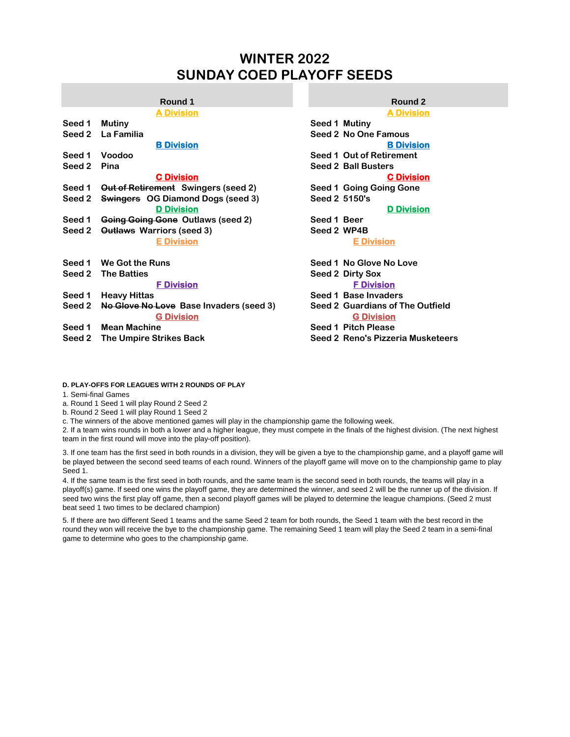# **WINTER 2022 SUNDAY COED PLAYOFF SEEDS**

|        | <b>A DIVISION</b>                                            | <b>A DIVISION</b>                                            |
|--------|--------------------------------------------------------------|--------------------------------------------------------------|
| Seed 1 | <b>Mutiny</b>                                                | Seed 1 Mutiny                                                |
| Seed 2 | La Familia                                                   | Seed 2 No One Famous                                         |
|        | <b>B Division</b>                                            | <b>B</b> Division                                            |
| Seed 1 | Voodoo                                                       | Seed 1 Out of Retirement                                     |
| Seed 2 | Pina                                                         | <b>Seed 2 Ball Busters</b>                                   |
|        | <b>C</b> Division                                            | <b>C Division</b>                                            |
| Seed 1 | <b>Out of Retirement</b> Swingers (seed 2)                   | Seed 1 Going Going Gone                                      |
| Seed 2 | <b>Swingers</b> OG Diamond Dogs (seed 3)                     | Seed 2 5150's                                                |
|        | <b>D</b> Division                                            | <b>D</b> Division                                            |
| Seed 1 | Going Going Gone Outlaws (seed 2)                            | Seed 1 Beer                                                  |
| Seed 2 | <b>Outlaws Warriors (seed 3)</b>                             | Seed 2 WP4B                                                  |
|        | <b>E</b> Division                                            | <b>E Division</b>                                            |
| Seed 1 | <b>We Got the Runs</b>                                       | Seed 1 No Glove No Love                                      |
| Seed 2 | <b>The Batties</b>                                           | Seed 2 Dirty Sox                                             |
|        | <b>F</b> Division                                            | <b>F</b> Division                                            |
| Seed 1 | <b>Heavy Hittas</b>                                          | Seed 1 Base Invaders                                         |
| Seed 2 | No Glove No Love Base Invaders (seed 3)<br><b>G Division</b> | <b>Seed 2 Guardians of The Outfield</b><br><b>G</b> Division |
| Seed 1 | <b>Mean Machine</b>                                          | Seed 1 Pitch Please                                          |
| Seed 2 | The Umpire Strikes Back                                      | Seed 2 Reno's Pizzeria Musketeers                            |
|        |                                                              |                                                              |

# **A Division A Division B Division B Division C Division C Division D Division D Division E Division E Division Round 1 Round 2**

### **D. PLAY-OFFS FOR LEAGUES WITH 2 ROUNDS OF PLAY**

1. Semi-final Games

a. Round 1 Seed 1 will play Round 2 Seed 2

b. Round 2 Seed 1 will play Round 1 Seed 2

c. The winners of the above mentioned games will play in the championship game the following week.

2. If a team wins rounds in both a lower and a higher league, they must compete in the finals of the highest division. (The next highest team in the first round will move into the play-off position).

3. If one team has the first seed in both rounds in a division, they will be given a bye to the championship game, and a playoff game will be played between the second seed teams of each round. Winners of the playoff game will move on to the championship game to play Seed 1.

4. If the same team is the first seed in both rounds, and the same team is the second seed in both rounds, the teams will play in a playoff(s) game. If seed one wins the playoff game, they are determined the winner, and seed 2 will be the runner up of the division. If seed two wins the first play off game, then a second playoff games will be played to determine the league champions. (Seed 2 must beat seed 1 two times to be declared champion)

5. If there are two different Seed 1 teams and the same Seed 2 team for both rounds, the Seed 1 team with the best record in the round they won will receive the bye to the championship game. The remaining Seed 1 team will play the Seed 2 team in a semi-final game to determine who goes to the championship game.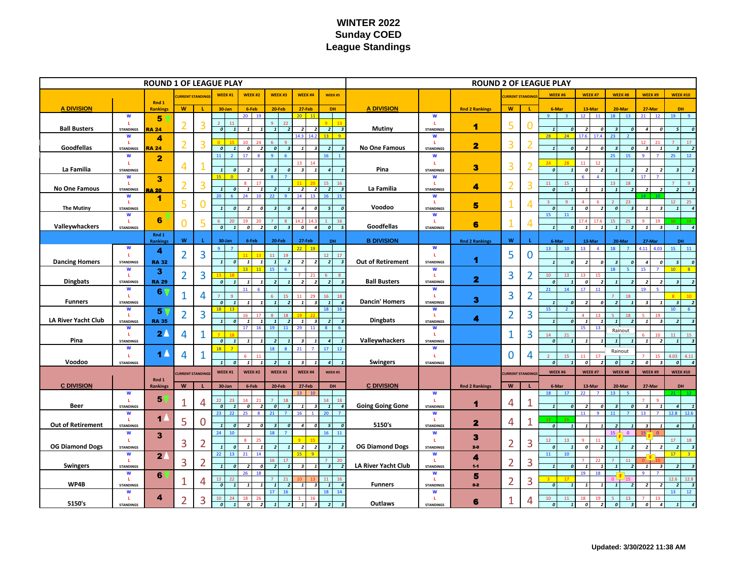# **WINTER 2022 Sunday COED League Standings**

|                          |                             |                          |                           | <b>ROUND 2 OF LEAGUE PLAY</b> |                                       |                                         |                                       |                                                                   |                                                              |                          |                             |                         |                 |                |                                                         |                                                   |                                                    |                                                         |                                                           |
|--------------------------|-----------------------------|--------------------------|---------------------------|-------------------------------|---------------------------------------|-----------------------------------------|---------------------------------------|-------------------------------------------------------------------|--------------------------------------------------------------|--------------------------|-----------------------------|-------------------------|-----------------|----------------|---------------------------------------------------------|---------------------------------------------------|----------------------------------------------------|---------------------------------------------------------|-----------------------------------------------------------|
|                          |                             | <b>URRENT STANDIN</b>    |                           | WEEK#1                        | WEEK#2                                | WEEK#3                                  | WEEK #4<br>WEEK#5                     |                                                                   |                                                              |                          |                             | <b>URRENT STANDIN</b>   |                 | WEEK #6        | WEEK#7                                                  | WEEK#8                                            | WEEK #9                                            | <b>WEEK #10</b>                                         |                                                           |
| <b>A DIVISION</b>        |                             | Rnd 1<br><b>Rankings</b> | W                         |                               | 30-Jan                                | 6-Feb                                   | $20-Feb$                              | 27-Feb                                                            | DH                                                           | <b>A DIVISION</b>        |                             | <b>Rnd 2 Rankings</b>   | W               |                | 6-Mar                                                   | 13-Mar                                            | 20-Mar                                             | 27-Mar                                                  | <b>DH</b>                                                 |
|                          | $\mathbf W$<br>L.           | 5                        |                           |                               | 11                                    | 19<br>20                                | 22<br>9                               | $20-1$<br>11                                                      |                                                              |                          | $\mathbf W$<br>L.           |                         |                 |                |                                                         | 12<br><b>11</b>                                   | 18<br>13                                           | 21<br>12                                                | 19                                                        |
| <b>Ball Busters</b>      | <b>STANDINGS</b>            | <b>RA 24</b>             | 2                         | 3                             | $\boldsymbol{0}$<br>$\overline{1}$    |                                         | $\mathbf{1}$<br>$\overline{z}$        | $\overline{z}$<br>$\overline{z}$<br>14.2<br>143                   | $\overline{2}$<br>$\overline{\mathbf{3}}$<br>13 <sup>2</sup> | <b>Mutiny</b>            | <b>STANDINGS</b>            | 1                       | 5               | 0              | $\overline{1}$<br>$\boldsymbol{o}$<br>28<br>24          | $\overline{2}$<br>$\overline{a}$<br>17.6<br>17.4  | $\overline{\mathbf{3}}$<br>$\boldsymbol{0}$<br>23. | $\overline{4}$<br>$\boldsymbol{o}$                      | $\overline{5}$<br>$\overline{a}$                          |
| Goodfellas               | W<br>L.<br><b>STANDINGS</b> | 4<br><b>RA 24</b>        | $\overline{2}$            | 3                             | $\boldsymbol{o}$<br>$\mathbf{1}$      | $\overline{z}$<br>0                     | $\boldsymbol{o}$                      | $\mathbf{1}$                                                      | $\overline{z}$<br>$\overline{\mathbf{3}}$                    | No One Famous            | W<br>L.<br><b>STANDINGS</b> | $\overline{\mathbf{2}}$ | $\overline{3}$  | 2              | $\boldsymbol{o}$<br>$\mathbf{1}$                        | $\overline{z}$                                    | $\overline{\mathbf{3}}$<br>$\sqrt{ }$              | 21<br>$\boldsymbol{\mathsf{3}}$<br>$\mathbf{1}$         | 17<br>$\boldsymbol{\mathsf{3}}$<br>$\overline{2}$         |
|                          | W<br>L.                     | $\mathbf{2}$             |                           |                               | 11                                    | 17                                      |                                       |                                                                   | 16                                                           |                          | W<br>L.                     |                         |                 |                |                                                         | 12                                                | 25                                                 |                                                         | 25                                                        |
| La Familia               | <b>STANDINGS</b>            |                          | 4                         |                               | $\mathbf{1}$<br>$\mathfrak{a}$        | $\mathbf{a}$                            | $\overline{\mathbf{3}}$<br>$\sqrt{a}$ | $\overline{\mathbf{3}}$<br>$\mathbf{1}$                           | $\overline{4}$<br>$\mathbf{1}$                               | Pina                     | <b>STANDINGS</b>            | з                       | 3               | $\overline{2}$ | $\mathfrak{o}$<br>$\mathbf{1}$                          | 11<br>$\pmb{o}$                                   | $\mathbf{1}$                                       | $\overline{z}$                                          | $\overline{\mathbf{z}}$                                   |
| No One Famous            | W<br>L.<br><b>STANDINGS</b> | 3<br><b>RA 20</b>        | $\overline{2}$            | 3                             | $\mathbf{1}$<br>$\overline{a}$        | 17                                      |                                       | $\overline{z}$<br>$\overline{z}$                                  | 15<br>16<br>$\overline{2}$<br>$\overline{\mathbf{3}}$        | La Familia               | W<br>L.<br><b>STANDINGS</b> | 4                       | $\overline{2}$  | 3              | 11<br>15<br>$\sqrt{ }$                                  |                                                   | 13<br>18<br>$\mathbf{1}$                           | $\overline{2}$                                          | $\overline{\phantom{a}}$                                  |
|                          | W<br>L.                     | 1                        | 5                         |                               | 20                                    | 24                                      |                                       | 14                                                                |                                                              |                          | W<br>L.                     | 5                       | $\mathbf{1}$    | 4              |                                                         |                                                   | 23                                                 |                                                         | 12 <sup>12</sup>                                          |
| <b>The Mutiny</b>        | <b>STANDINGS</b><br>W       |                          |                           |                               |                                       |                                         |                                       | 4<br>$\boldsymbol{0}$                                             | 5 <sup>1</sup><br>$\boldsymbol{0}$                           | Voodoo                   | <b>STANDINGS</b><br>W       |                         |                 |                | $\boldsymbol{0}$<br>$\mathbf{1}$<br>15<br>11            | $\overline{\mathbf{c}}$                           | $\boldsymbol{o}$<br>-3                             | $\mathbf{1}$<br>$\boldsymbol{\mathsf{3}}$               | $\mathbf{1}$                                              |
| Valleywhackers           | L.<br><b>STANDINGS</b>      | 6                        | O                         | 5                             | $\boldsymbol{o}$                      | 0<br>$\overline{\phantom{a}}$           | $\boldsymbol{o}$                      | $\boldsymbol{o}$<br>$\overline{4}$                                | 16<br>$\boldsymbol{o}$<br>5                                  | Goodfellas               | L.<br><b>STANDINGS</b>      | 6                       | 1               | 4              | $\mathbf{1}$<br>$\boldsymbol{0}$                        | 17.4<br>$\mathbf{1}$                              | 25<br>$\mathbf{1}$<br>$\overline{\phantom{a}}$     | 19<br>$\mathbf{1}$<br>$\boldsymbol{\mathsf{3}}$         | $10-1$<br>14<br>1                                         |
|                          |                             | Rnd 1<br><b>Rankings</b> | W                         |                               | 30-Jan                                | 6-Feb                                   | 20-Feb                                | 27-Feb                                                            | <b>DH</b>                                                    | <b>B DIVISION</b>        |                             | <b>Rnd 2 Rankings</b>   | W               |                | 6-Mar                                                   | 13-Mar                                            | 20-Mar                                             | 27-Mar                                                  | <b>DH</b>                                                 |
|                          | W<br>L.                     | 4                        | $\overline{2}$            | 3                             | $\alpha$                              |                                         | 11<br>19                              | 22 <sup>1</sup><br>19                                             | 17<br>12                                                     |                          | $\mathbf W$<br>L.           |                         | 5               | 0              | 13<br>10                                                | 13 <sup>7</sup><br>$\overline{4}$                 | 18                                                 | $4.11 \quad 4.03$                                       | 15<br>11                                                  |
| <b>Dancing Homers</b>    | <b>STANDINGS</b>            | <b>RA 32</b>             |                           |                               | $\mathbf{1}$<br>$\pmb{o}$             | $\mathbf{1}$<br>$\mathbf{1}$            | $\mathbf{1}$<br>$\overline{2}$        | $\overline{z}$<br>$\overline{2}$                                  | $\overline{z}$<br>$\overline{\mathbf{3}}$                    | <b>Out of Retirement</b> | <b>STANDINGS</b>            | 1                       |                 |                | $\mathbf{1}$<br>$\boldsymbol{o}$                        | $\overline{2}$<br>0                               | $\overline{\mathbf{3}}$<br>$\boldsymbol{0}$        | $\overline{a}$<br>0                                     | 5 <sup>1</sup><br>$\boldsymbol{o}$                        |
|                          | W<br>L.                     | 3                        | $\overline{2}$            | 3                             |                                       |                                         | 15                                    |                                                                   | -8                                                           |                          | W<br>L.                     | 2                       | 3               | $\overline{2}$ | $10-10$<br>13                                           |                                                   | 18                                                 | 15                                                      | $10-10$                                                   |
| <b>Dingbats</b>          | <b>STANDINGS</b><br>W       | <b>RA 29</b><br>6        |                           |                               | $\pmb{o}$<br>$\overline{1}$           | 11                                      | $\overline{z}$                        | $\overline{z}$<br>$\overline{z}$                                  | $\overline{2}$<br>$\overline{\mathbf{3}}$                    | <b>Ball Busters</b>      | <b>STANDINGS</b><br>W       |                         |                 |                | $\overline{0}$<br>$\mathbf{1}$<br>21                    | $\pmb{o}$<br>17<br>11                             | $\mathbf{1}$                                       | $\overline{z}$<br>19                                    |                                                           |
| <b>Funners</b>           | L.<br><b>STANDINGS</b>      |                          | $\mathbf{1}$              | 4                             | $\boldsymbol{o}$<br>$\overline{1}$    |                                         | $\mathbf{1}$                          | $\mathbf{1}$<br>$\overline{\mathbf{3}}$                           | 16<br>18<br>$\overline{4}$<br>$\mathbf{1}$                   | <b>Dancin' Homers</b>    | L.<br><b>STANDINGS</b>      | 3                       | $\overline{3}$  | $\overline{2}$ | $1\overline{ }$<br>$\mathbf{a}$                         |                                                   | 18<br>$\overline{\phantom{a}}$                     |                                                         | $\overline{\mathbf{z}}$                                   |
|                          | W<br>L.                     | 5                        | $\overline{2}$            | 3                             | 18                                    |                                         |                                       |                                                                   | 18 <sup>7</sup><br>16                                        |                          | W<br>L.                     |                         | $\overline{2}$  | 3              | $15-15$                                                 | 13                                                | 18                                                 |                                                         | $10-1$                                                    |
| LA River Yacht Club      | <b>STANDINGS</b><br>W       | <b>RA 35</b>             |                           |                               | $\overline{1}$<br>$\sqrt{2}$          | 17                                      |                                       | $\overline{\mathbf{3}}$<br>$\mathbf{I}$<br>29.<br>11 <sup>1</sup> | $\overline{2}$<br>$\overline{\mathbf{3}}$                    | <b>Dingbats</b>          | <b>STANDINGS</b><br>W       | 4                       |                 |                | $\overline{1}$<br>$\mathbf{a}$                          | $15-1$<br>13                                      | $\overline{1}$                                     |                                                         |                                                           |
| Pina                     | L.<br><b>STANDINGS</b>      | 2 <sub>4</sub>           | 4                         | 1                             | $\bullet$<br>$\mathbf{1}$             |                                         | $\overline{2}$                        | $\overline{\mathbf{3}}$                                           | $\overline{4}$<br>$\mathbf{1}$                               | Valleywhackers           | ш<br><b>STANDINGS</b>       |                         | $\mathbf{1}$    | 3              | 14 <sup>7</sup><br>21<br>$\boldsymbol{o}$               | $\mathbf{1}$                                      | Rainout<br>$\mathbf{1}$                            | $\mathbf{1}$<br>$\overline{z}$                          | 11<br>15<br>$\mathbf{1}$                                  |
|                          | W<br>$\mathbf{I}$           | $\blacktriangle$         |                           | 1                             | 18                                    | 21<br>18                                | 17 <sup>7</sup><br>12                 |                                                                   | W<br>L.                                                      |                          | $\bf{0}$                    | 4                       | 15              |                | Rainout                                                 |                                                   |                                                    |                                                         |                                                           |
| Voodoo                   | <b>STANDINGS</b>            |                          | 4                         |                               | $\mathbf{1}$<br>$\boldsymbol{\theta}$ | $\mathbf{1}$<br>$\overline{\mathbf{1}}$ | $\overline{2}$<br>$\mathbf{1}$        | $\overline{\mathbf{3}}$<br>$\overline{4}$<br>$\mathbf{1}$         | $\overline{1}$                                               | <b>Swingers</b>          | <b>STANDINGS</b>            |                         |                 |                | $\boldsymbol{o}$<br>$\mathbf{1}$                        | 17<br>11<br>$\bullet$<br>$\overline{\phantom{a}}$ | $\boldsymbol{o}$<br>$\overline{2}$                 | 15<br>$\boldsymbol{o}$<br>$\overline{\mathbf{3}}$       | 4.03<br>4.11<br>$\overline{\mathbf{0}}$<br>$\overline{4}$ |
|                          |                             | Rnd 1                    |                           | <b>URRENT STANDING</b>        | WEEK#1                                | WEEK #2                                 | WEEK#3                                | WEEK #4                                                           | WEEK #5                                                      |                          |                             |                         | URRENT STANDING |                | WEEK #6                                                 | WEEK #7                                           | WEEK#8                                             | WEEK #9                                                 | <b>WEEK #10</b>                                           |
| <b>C DIVISION</b>        | $\mathbf W$                 | Rankings                 | $\boldsymbol{\mathsf{w}}$ |                               | 30-Jan                                | 6-Feb                                   | 20-Feb                                | 27-Feb<br>$13-13$<br>10                                           | DH                                                           | <b>C DIVISION</b>        | W                           | <b>Rnd 2 Rankings</b>   | W               |                | 6-Mar<br>18<br>17                                       | 13-Mar<br>22<br>$\overline{7}$                    | 20-Mar<br>13                                       | 27-Mar                                                  | DH<br>21 I                                                |
| Beer                     | L.                          | 5                        | $\mathbf{1}$              | 4                             | $\overline{1}$                        |                                         |                                       |                                                                   | 14 <sup>7</sup><br>18                                        | <b>Going Going Gone</b>  | L.                          | 1                       | 4               | 1              |                                                         |                                                   |                                                    |                                                         |                                                           |
|                          | <b>STANDINGS</b><br>W       |                          |                           |                               | $\pmb{o}$<br>23<br>22                 | $\boldsymbol{o}$<br>25<br>8             | $\theta$<br>21                        | 16                                                                | $\mathbf{1}$<br>$\overline{a}$<br>20                         |                          | <b>STANDINGS</b><br>W       |                         |                 |                | $1\overline{ }$<br>$\boldsymbol{o}$                     | $\overline{2}$<br>11<br>-9                        | $\overline{\mathbf{3}}$<br>11                      | $\boldsymbol{\beta}$<br>$\mathbf{1}$<br>13 <sup>7</sup> | $\overline{4}$<br>$12.8$ 12.6                             |
| <b>Out of Retirement</b> | L.<br><b>STANDINGS</b>      | $\blacksquare$           | 5                         | 0                             | $\mathbf{1}$<br>$\boldsymbol{0}$      |                                         | $\overline{\mathbf{3}}$               | 4<br>0                                                            | 5 <sup>1</sup><br>$\pmb{o}$                                  | 5150's                   | L.<br><b>STANDINGS</b>      | $\mathbf{z}$            | 4               | 1              | $12 -$<br>21<br>$\overline{\mathbf{c}}$<br>$\mathbf{1}$ |                                                   | $\overline{2}$                                     | $\overline{\mathbf{3}}$                                 | $\overline{a}$                                            |
|                          | $\mathbf W$<br>L.           | $\mathbf{3}$             |                           |                               | 24<br>10                              |                                         | 18                                    |                                                                   | 11<br>16 <sup>1</sup>                                        |                          | W<br>L.                     | 3                       |                 |                | 12 <sup>2</sup><br>13 <sup>°</sup>                      | 11                                                | $15 -$<br>$\overline{\phantom{0}}$                 |                                                         | 17 <sup>17</sup>                                          |
| <b>OG Diamond Dogs</b>   | <b>STANDINGS</b><br>W       |                          | 3                         | $\overline{2}$                | 22                                    | 21<br>14                                |                                       | $\overline{2}$<br>$\overline{2}$                                  | $\overline{\mathbf{3}}$                                      | <b>OG Diamond Dogs</b>   | <b>STANDINGS</b><br>W       | $2-0$                   | $\overline{2}$  | 3              | $\overline{0}$<br>11<br>$10-10$                         | $\pmb{o}$                                         | $\mathbf{1}$                                       |                                                         | $\overline{2}$<br>17 <sup>2</sup>                         |
| <b>Swingers</b>          | L.<br><b>STANDINGS</b>      | 2 <sub>l</sub>           | 3                         | 2                             | $\mathbf{1}$<br>$\boldsymbol{0}$      | $\boldsymbol{o}$                        | 16<br>$\overline{z}$                  | $\overline{\mathbf{z}}$                                           | 20<br>$\overline{\mathbf{3}}$<br>$\overline{z}$              | LA River Yacht Club      | L.<br><b>STANDINGS</b>      | 4<br>$4 - 1$            | $\overline{2}$  | 3              | 1<br>$\boldsymbol{o}$                                   | $\mathbf{1}$<br>$\mathbf{1}$                      | 11<br>$\mathbf{1}$<br>$\overline{2}$               | $\mathbf{1}$<br>$\overline{\mathbf{3}}$                 | $\overline{2}$                                            |
|                          | W<br>L.                     | 6                        | 1                         | 4                             | 13<br>22                              |                                         | 21                                    |                                                                   | 11<br>16                                                     |                          | W<br>ш                      | 5                       | $\overline{2}$  | 3              |                                                         | 19<br>18                                          | $0-$<br>15 <sub>15</sub>                           |                                                         | 12.6<br>12.8                                              |
| WP4B                     | <b>STANDINGS</b><br>W<br>L. | 4                        | $\overline{2}$            | 3                             | $\overline{\mathbf{0}}$               |                                         | $\mathbf{1}$<br>$\overline{z}$<br>17  | 1<br>$\boldsymbol{3}$                                             | $\mathbf{1}$<br>$\overline{\mathbf{A}}$<br>14<br>18          | <b>Funners</b>           | <b>STANDINGS</b><br>W<br>L  | $0-2$                   | 1               | 4              | $\bullet$<br>$\mathbf{1}$                               | 1                                                 | $\mathbf{1}$<br>- 2                                | $\overline{2}$<br>$\overline{z}$                        | $\overline{z}$<br>13<br>12 <sup>7</sup>                   |
| 5150's                   | <b>STANDINGS</b>            |                          |                           |                               |                                       |                                         |                                       |                                                                   |                                                              | Outlaws                  | <b>STANDINGS</b>            | 6                       |                 |                |                                                         | 0                                                 | $\boldsymbol{0}$                                   | $\boldsymbol{0}$                                        |                                                           |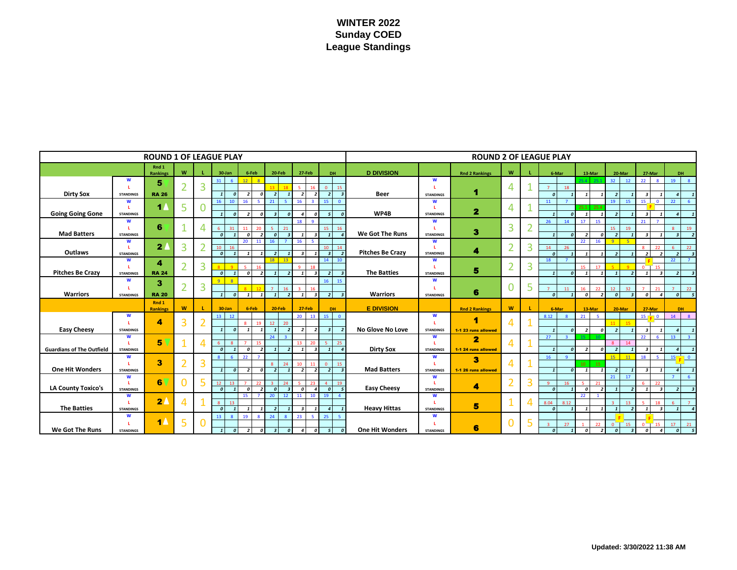# **WINTER 2022 Sunday COED League Standings**

| <b>ROUND 1 OF LEAGUE PLAY</b>    |                        |                   |                |             |                                                              |                                                                      |                            |                          |                | <b>ROUND 2 OF LEAGUE PLAY</b> |                       |                         |                |   |                            |                                              |                                                             |                                                      |                                           |  |  |  |
|----------------------------------|------------------------|-------------------|----------------|-------------|--------------------------------------------------------------|----------------------------------------------------------------------|----------------------------|--------------------------|----------------|-------------------------------|-----------------------|-------------------------|----------------|---|----------------------------|----------------------------------------------|-------------------------------------------------------------|------------------------------------------------------|-------------------------------------------|--|--|--|
|                                  |                        | Rnd 1<br>Rankings | W              |             | 6-Feb<br>30-Jan                                              | 20-Feb                                                               | 27-Feb<br>DH.              |                          |                | <b>D DIVISION</b>             |                       | <b>Rnd 2 Rankings</b>   |                |   | 6-Mar                      | 13-Mar                                       | 20-Mar                                                      | 27-Mar                                               | DH.                                       |  |  |  |
|                                  | W                      |                   |                |             | 12 <sup>1</sup><br>31                                        | $\overline{\mathbf{8}}$                                              |                            |                          |                |                               | W                     |                         | W              |   |                            | 25A<br>251                                   | 32 <sup>°</sup><br>12                                       | 22<br>$\bullet$                                      | 19<br>$\mathbf{8}$                        |  |  |  |
|                                  | L.                     | 5                 | $\overline{2}$ | 3           |                                                              |                                                                      | K.<br>16                   | $\overline{0}$           | 15             |                               |                       |                         | 4              |   | 18<br>$\overline{7}$       |                                              |                                                             |                                                      |                                           |  |  |  |
| <b>Dirty Sox</b>                 | <b>STANDINGS</b>       | <b>RA 26</b>      |                |             | $\overline{a}$<br>$\overline{\phantom{a}}$                   | $\mathbf{a}$<br>2                                                    |                            | $\overline{\phantom{a}}$ | $\overline{3}$ | <b>Beer</b>                   | <b>STANDINGS</b>      | 4                       |                |   | $\sqrt{ }$                 |                                              | $\overline{z}$                                              | $\overline{\mathbf{z}}$                              | $\mathbf{A}$                              |  |  |  |
|                                  | W<br>L.                | $\blacksquare$    |                |             | 16<br>16 <sup>1</sup><br>10                                  | 21<br>-5.                                                            | 16<br>$\mathbf{B}$         | 15                       | $\Omega$       |                               | W                     |                         |                |   | 11                         | 25.4                                         | 19<br>15                                                    | 15<br>$\overline{\mathbf{0}}$                        | 22<br>-6                                  |  |  |  |
| <b>Going Going Gone</b>          | <b>STANDINGS</b>       |                   | 5              |             | $\sqrt{ }$                                                   | $\sqrt{ }$                                                           |                            |                          |                | WP4B                          | <b>STANDINGS</b>      | $\overline{\mathbf{z}}$ | 4              |   |                            | 25.1<br>$\mathbf{a}$                         | $\overline{\phantom{a}}$                                    | $\overline{\mathbf{3}}$                              | $\overline{A}$                            |  |  |  |
|                                  | W                      |                   |                |             |                                                              |                                                                      | 18<br>$\alpha$             |                          |                |                               | W                     |                         |                |   | 26<br>14                   | 15<br>17                                     |                                                             | 21<br>$\overline{z}$                                 |                                           |  |  |  |
|                                  |                        | 6                 |                | 4           | 31<br>11<br>-6                                               | 21<br>20                                                             |                            | 15                       | 16             |                               |                       |                         | 3              |   |                            |                                              | 19<br>15                                                    |                                                      | 19<br>$\mathbf{8}$                        |  |  |  |
| <b>Mad Batters</b>               | <b>STANDINGS</b>       |                   |                |             | $\boldsymbol{0}$<br>$\mathbf{a}$                             | $\overline{\mathbf{z}}$                                              |                            | $\mathbf{1}$             |                | We Got The Runs               | <b>STANDINGS</b>      | 3                       |                |   | $\mathbf{1}$               | $\overline{\phantom{a}}$<br>$\boldsymbol{0}$ | $\overline{2}$                                              | $\overline{\mathbf{3}}$                              | $\overline{\mathbf{3}}$<br>$\overline{2}$ |  |  |  |
|                                  | W<br>L.                | 2 <sub>l</sub>    | 3              |             | 20<br>10<br>16                                               | 11<br>16                                                             | 16                         | 10                       | 14             |                               | W                     |                         |                | 3 | 14<br>26                   | 22<br>16                                     | $\overline{q}$<br>5                                         | 22                                                   | 22                                        |  |  |  |
| Outlaws                          | <b>STANDINGS</b>       |                   |                |             | $\overline{a}$<br>$\mathbf{1}$                               |                                                                      |                            | $\overline{\mathbf{3}}$  | $\overline{2}$ | <b>Pitches Be Crazy</b>       | <b>STANDINGS</b>      | 4                       |                |   | $\boldsymbol{0}$           |                                              | $\overline{\phantom{a}}$                                    | $\overline{\phantom{a}}$<br>$\overline{\phantom{a}}$ | $\overline{2}$<br>$\overline{\mathbf{3}}$ |  |  |  |
|                                  | W                      | 4                 |                |             |                                                              | 18<br>13                                                             |                            | 14                       | 10             |                               | W                     |                         |                |   | 18                         |                                              |                                                             |                                                      | 22                                        |  |  |  |
|                                  |                        | <b>RA 24</b>      | $\overline{2}$ | 3           |                                                              |                                                                      | $\alpha$                   |                          |                |                               |                       | $\overline{2}$<br>5     | 3              |   | 45 <sup>2</sup><br>17      |                                              | 15<br>ി                                                     |                                                      |                                           |  |  |  |
| <b>Pitches Be Crazy</b>          | <b>STANDINGS</b>       |                   |                |             | $\overline{a}$<br>$\mathbf{1}$<br>$\Omega$                   | $\overline{\phantom{a}}$<br>$\overline{\phantom{a}}$                 |                            | $\overline{\phantom{a}}$ |                | <b>The Batties</b>            | <b>STANDINGS</b>      |                         |                |   |                            | $\mathbf{a}$<br>$\mathbf{I}$                 | $\overline{\mathbf{1}}$                                     | $\overline{\mathbf{z}}$                              | $\overline{z}$<br>- 3                     |  |  |  |
| W<br><b>Warriors</b>             |                        | з                 | $\overline{2}$ | 3           | $\alpha$<br>$\mathbf{Q}$                                     |                                                                      |                            | 16                       | 15             | <b>Warriors</b>               | W                     |                         | $\overline{0}$ | 5 |                            |                                              |                                                             |                                                      |                                           |  |  |  |
|                                  | <b>STANDINGS</b>       | <b>RA 20</b>      |                |             | $\boldsymbol{o}$<br>$\mathbf{1}$<br>$\mathbf{1}$             | 16<br>$\mathbf{1}$<br>$\overline{\phantom{a}}$                       | $\overline{\mathbf{3}}$    | $\overline{2}$           | $\overline{3}$ |                               | <b>STANDINGS</b>      | 6                       |                |   | 11<br>$\boldsymbol{o}$     | 22<br>16<br>$\boldsymbol{o}$<br>$\mathbf{1}$ | 12 <sup>°</sup><br>32<br>$\boldsymbol{o}$<br>$\overline{3}$ | 21<br>$\overline{4}$<br>$\boldsymbol{o}$             | 22<br>$5^{\circ}$<br>$\boldsymbol{o}$     |  |  |  |
|                                  |                        | Rnd 1             |                |             |                                                              |                                                                      |                            |                          |                |                               |                       |                         |                |   |                            |                                              |                                                             |                                                      |                                           |  |  |  |
|                                  |                        | <b>Rankings</b>   | W              |             | $30$ -Jan<br>6-Feb                                           | <b>20-Feb</b>                                                        | 27-Feb                     | DH.                      |                | <b>E DIVISION</b>             |                       | <b>Rnd 2 Rankings</b>   | W              |   | 6-Mar                      | 13-Mar                                       | 20-Mar                                                      | 27-Mar                                               | DH                                        |  |  |  |
|                                  | W                      |                   |                |             | 13<br>12                                                     |                                                                      | 20<br>13                   | 15                       | $\Omega$       |                               | W                     | 1                       |                |   | 8.12                       | 21<br>-5                                     |                                                             | 15<br>$\Box$                                         | 14<br>8                                   |  |  |  |
|                                  | L.                     | 4                 | 3              |             |                                                              | 12<br>20<br>10                                                       |                            |                          |                | No Glove No Love              |                       |                         | $\overline{4}$ |   |                            |                                              | 11<br>15                                                    |                                                      |                                           |  |  |  |
| <b>Easy Cheesy</b>               | <b>STANDINGS</b><br>W  |                   |                |             | $\overline{a}$                                               | 24                                                                   |                            |                          |                |                               | <b>STANDINGS</b><br>W | 1-1 23 runs allowed     |                |   | 27                         | $\overline{z}$<br>$\mathbf{a}$<br>15         | $\overline{z}$                                              | $\overline{\mathbf{3}}$<br>22                        | $\mathbf{A}$<br>13 <sup>°</sup>           |  |  |  |
|                                  | п.                     | 5                 |                | Δ           | -6                                                           |                                                                      | 13<br>20                   |                          | 25             |                               |                       | $\overline{2}$          |                |   |                            |                                              | 14<br>୍ତ                                                    |                                                      |                                           |  |  |  |
| <b>Guardians of The Outfield</b> | <b>STANDINGS</b>       |                   |                |             | $\boldsymbol{0}$<br>$\mathbf{a}$                             | $\overline{\phantom{a}}$                                             | $\overline{\mathbf{3}}$    |                          |                | <b>Dirty Sox</b>              | <b>STANDINGS</b>      | 1-1 24 runs allowed     |                |   | $\sqrt{2}$                 | $\overline{\phantom{a}}$                     | $\overline{2}$                                              | $\overline{\mathbf{z}}$                              | $\overline{a}$                            |  |  |  |
|                                  | W                      |                   |                |             | 22<br>$\mathbf{8}$<br>$\epsilon$                             | 7                                                                    |                            |                          |                |                               | W                     | З                       |                |   | 16                         |                                              | $15-15$<br>11                                               | 18<br>-5.                                            | 15<br>$\Box$ 0                            |  |  |  |
| <b>One Hit Wonders</b>           | п.                     | 3                 | $\overline{2}$ | 3           |                                                              | 24                                                                   | 11<br>10                   | $\Omega$                 | 15             | <b>Mad Batters</b>            |                       |                         | 4              |   |                            | 15<br>10 <sup>10</sup>                       |                                                             |                                                      |                                           |  |  |  |
|                                  | <b>STANDINGS</b><br>W  |                   |                |             | $\boldsymbol{0}$<br>$\overline{\phantom{a}}$<br>$\mathbf{1}$ | $\mathbf{a}$<br>$\overline{\phantom{a}}$                             |                            | $\overline{\phantom{a}}$ |                |                               | <b>STANDINGS</b><br>W | 1-1 26 runs allowed     |                |   | $\mathbf{1}$               | $\mathbf{1}$<br>$\boldsymbol{0}$             | $\overline{z}$<br>21<br>17                                  | $\overline{\mathbf{3}}$                              | $\overline{a}$                            |  |  |  |
|                                  | <b>L</b>               | 6                 | $\Omega$       | 5           | 12 <sup>7</sup><br>13<br>$\overline{7}$                      | 22                                                                   | 23                         |                          | 19             |                               |                       |                         | $\overline{2}$ | 3 | 16<br>$\mathbf{Q}$         | 21                                           |                                                             | 22                                                   |                                           |  |  |  |
| <b>LA County Toxico's</b>        | <b>STANDINGS</b>       |                   |                |             | $\boldsymbol{0}$<br>$\mathbf{a}$                             | $\overline{\phantom{a}}$<br>$\Omega$                                 | $\mathbf{A}$<br>$\sqrt{2}$ | $\boldsymbol{o}$         | $\overline{5}$ | <b>Easy Cheesy</b>            | <b>STANDINGS</b>      | 4                       |                |   | $\mathbf{a}$               | $\boldsymbol{o}$                             | $\overline{2}$<br>$\mathbf{1}$                              | $\overline{3}$<br>$\mathbf{1}$                       | $\overline{2}$<br>$\overline{\mathbf{3}}$ |  |  |  |
|                                  | W                      |                   |                |             | 15                                                           |                                                                      | 10                         | 19                       |                |                               | W                     |                         | ٠              |   |                            | $22^{\circ}$                                 |                                                             |                                                      |                                           |  |  |  |
| <b>The Batties</b>               | т.<br><b>STANDINGS</b> | $\overline{2}$    | $\overline{4}$ |             | <b>13</b><br>8<br>$\boldsymbol{0}$                           | -2                                                                   |                            |                          |                | <b>Heavy Hittas</b>           | <b>STANDINGS</b>      | 5                       |                |   | 8.04<br>8.12<br>$\sqrt{2}$ | $\mathbf{I}$                                 | 13<br>$\overline{3}$<br>$\overline{1}$                      | 18<br>$\overline{\mathbf{3}}$                        | 6                                         |  |  |  |
|                                  | W                      |                   |                |             | 19<br>13 <sup>°</sup><br>$\mathbf{R}$                        | 24<br>$\mathbf{8}$                                                   | 23<br>5                    | 25                       | $5^{\circ}$    |                               | W                     |                         |                |   |                            |                                              |                                                             |                                                      |                                           |  |  |  |
|                                  |                        | 1 <sub>A</sub>    | 5              | $\mathbf 0$ |                                                              |                                                                      |                            |                          |                |                               |                       |                         | $\mathbf 0$    | 5 | 27                         | 22                                           | $\circ$<br>15                                               | 15<br>$\sqrt{2}$                                     | 17<br>21                                  |  |  |  |
| <b>We Got The Runs</b>           | <b>STANDINGS</b>       |                   |                |             | $\boldsymbol{o}$<br>$\overline{z}$<br>$\mathbf{1}$           | $\boldsymbol{\mathsf{o}}$<br>$\overline{\mathbf{3}}$<br>$\mathbf{a}$ |                            | 5                        |                | <b>One Hit Wonders</b>        | <b>STANDINGS</b>      | 6                       |                |   | $\boldsymbol{0}$           | $\boldsymbol{0}$                             | $\boldsymbol{o}$                                            | $\mathbf{A}$<br>$\mathbf{r}$                         | - 5<br>$\boldsymbol{o}$                   |  |  |  |